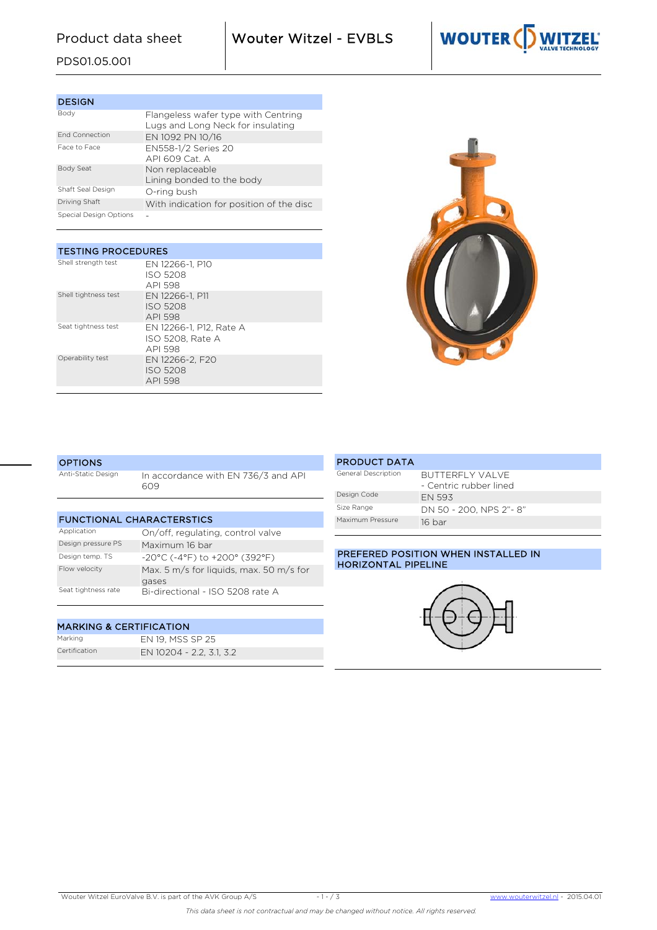Product data sheet Wouter Witzel - EVBLS



# PDS01.05.001

| <b>DESIGN</b>          |                                                                          |
|------------------------|--------------------------------------------------------------------------|
| Body                   | Flangeless wafer type with Centring<br>Lugs and Long Neck for insulating |
| <b>End Connection</b>  | EN 1092 PN 10/16                                                         |
| Face to Face           | EN558-1/2 Series 20<br>$API$ 609 Cat $\Delta$                            |
| Body Seat              | Non replaceable<br>Lining bonded to the body                             |
| Shaft Seal Design      | O-ring bush                                                              |
| Driving Shaft          | With indication for position of the disc                                 |
| Special Design Options |                                                                          |

| <b>TESTING PROCEDURES</b> |                                                        |  |  |  |  |  |  |
|---------------------------|--------------------------------------------------------|--|--|--|--|--|--|
| Shell strength test       | EN 12266-1. P10<br>ISO 5208<br>API 598                 |  |  |  |  |  |  |
| Shell tightness test      | EN 12266-1. P11<br><b>ISO 5208</b><br>API 598          |  |  |  |  |  |  |
| Seat tightness test       | EN 12266-1, P12, Rate A<br>ISO 5208. Rate A<br>API 598 |  |  |  |  |  |  |
| Operability test          | EN 12266-2. F20<br><b>ISO 5208</b><br>API 598          |  |  |  |  |  |  |



## **OPTIONS**

| Anti-Static Design | In accordance with EN 736/3 and API |
|--------------------|-------------------------------------|
|                    | 609                                 |

| <b>FUNCTIONAL CHARACTERSTICS</b> |                                                  |  |  |  |  |  |  |
|----------------------------------|--------------------------------------------------|--|--|--|--|--|--|
| Application                      | On/off, regulating, control valve                |  |  |  |  |  |  |
| Design pressure PS               | Maximum 16 bar                                   |  |  |  |  |  |  |
| Design temp. TS                  | $-20^{\circ}$ C (-4°F) to $+200^{\circ}$ (392°F) |  |  |  |  |  |  |
| Flow velocity                    | Max. 5 m/s for liquids, max. 50 m/s for<br>gases |  |  |  |  |  |  |
| Seat tightness rate              | Bi-directional - ISO 5208 rate A                 |  |  |  |  |  |  |

### MARKING & CERTIFICATION

| Marking       | EN 19, MSS SP 25         |
|---------------|--------------------------|
| Certification | EN 10204 - 2.2, 3.1, 3.2 |

| <b>PRODUCT DATA</b> |                                           |
|---------------------|-------------------------------------------|
| General Description | BUTTERFLY VALVE<br>- Centric rubber lined |
| Design Code         | <b>FN 593</b>                             |
| Size Range          | DN 50 - 200. NPS 2"-8"                    |
| Maximum Pressure    | 16 bar                                    |

## PREFERED POSITION WHEN INSTALLED IN HORIZONTAL PIPELINE

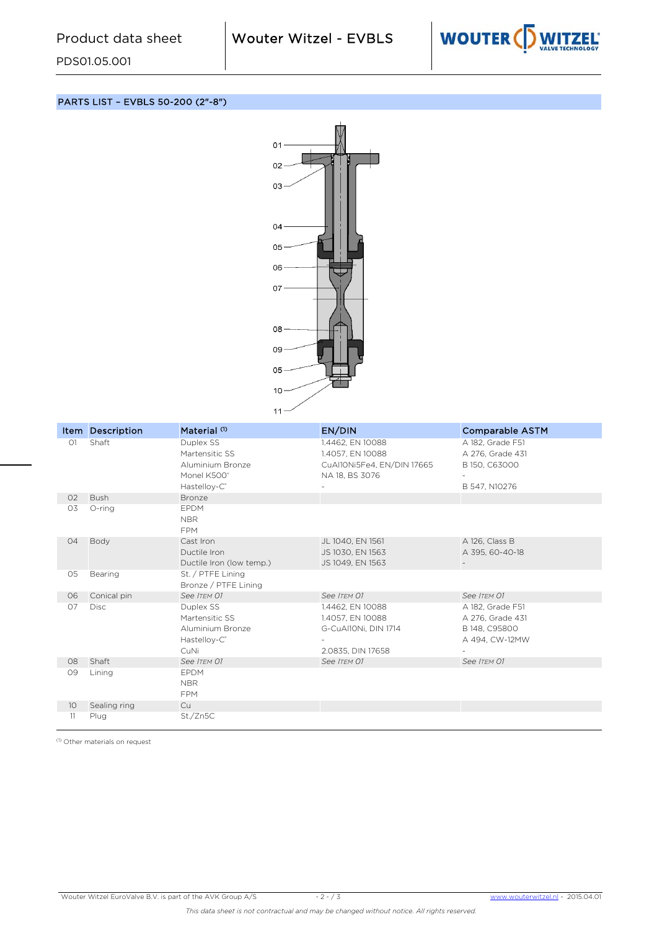PDS01.05.001



PARTS LIST – EVBLS 50-200 (2"-8")



|                 | <b>Item Description</b> | Material <sup>(1)</sup>                                                                    | EN/DIN                                                                               | <b>Comparable ASTM</b>                                                  |
|-----------------|-------------------------|--------------------------------------------------------------------------------------------|--------------------------------------------------------------------------------------|-------------------------------------------------------------------------|
| O1              | Shaft                   | Duplex SS<br>Martensitic SS<br>Aluminium Bronze<br>Monel K500°<br>Hastelloy-C <sup>®</sup> | 1.4462, EN 10088<br>1.4057, EN 10088<br>CuAl10Ni5Fe4, EN/DIN 17665<br>NA 18, BS 3076 | A 182, Grade F51<br>A 276, Grade 431<br>B 150, C63000<br>B 547, N10276  |
| O <sub>2</sub>  | <b>Bush</b>             | Bronze                                                                                     |                                                                                      |                                                                         |
| O3              | O-ring                  | <b>EPDM</b><br><b>NBR</b><br><b>FPM</b>                                                    |                                                                                      |                                                                         |
| 04              | Body                    | Cast Iron<br>Ductile Iron<br>Ductile Iron (low temp.)                                      | JL 1040, EN 1561<br>JS 1030, EN 1563<br>JS 1049, EN 1563                             | A 126, Class B<br>A 395, 60-40-18                                       |
| 05              | Bearing                 | St. / PTFE Lining<br>Bronze / PTFE Lining                                                  |                                                                                      |                                                                         |
| 06              | Conical pin             | See ITEM 01                                                                                | See ITEM 01                                                                          | See ITEM 01                                                             |
| 07              | <b>Disc</b>             | Duplex SS<br>Martensitic SS<br>Aluminium Bronze<br>Hastelloy-C <sup>®</sup><br><b>CuNi</b> | 1.4462, EN 10088<br>1.4057, EN 10088<br>G-CuAl10Ni, DIN 1714<br>2.0835, DIN 17658    | A 182, Grade F51<br>A 276, Grade 431<br>B 148, C95800<br>A 494, CW-12MW |
| 08              | Shaft                   | See ITEM 01                                                                                | See ITEM 01                                                                          | See ITEM 01                                                             |
| 09              | Lining                  | <b>EPDM</b><br><b>NBR</b><br><b>FPM</b>                                                    |                                                                                      |                                                                         |
| 10 <sup>°</sup> | Sealing ring            | Cu                                                                                         |                                                                                      |                                                                         |
| 11              | Plug                    | St./Zn5C                                                                                   |                                                                                      |                                                                         |

(1) Other materials on request

Wouter Witzel EuroValve B.V. is part of the AVK Group A/S - 2 - / 3 www.wouterwitzel.nl *-* 2015.04.01